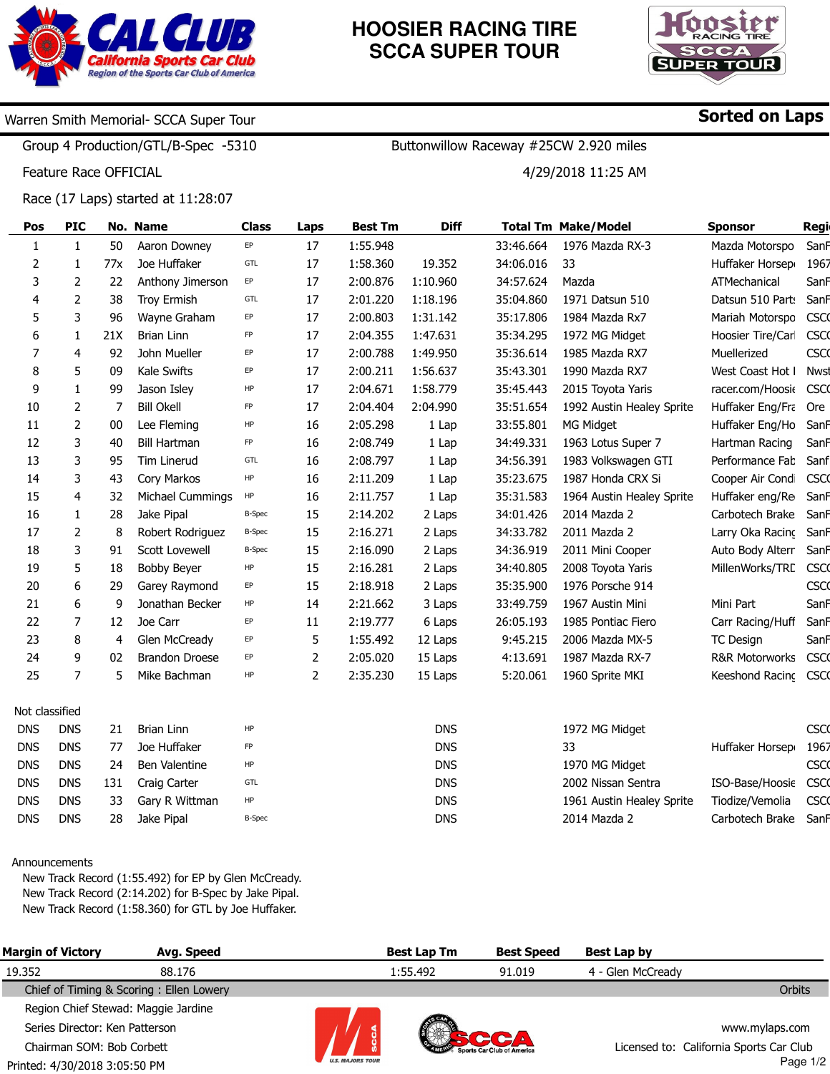

# **HOOSIER RACING TIRE SCCA SUPER TOUR**

Buttonwillow Raceway #25CW 2.920 miles

4/29/2018 11:25 AM



### Warren Smith Memorial- SCCA Super Tour

Group 4 Production/GTL/B-Spec -5310

Feature Race OFFICIAL

Race (17 Laps) started at 11:28:07

| Pos            | <b>PIC</b>   |     | No. Name              | Class         | Laps           | <b>Best Tm</b> | <b>Diff</b> |           | <b>Total Tm Make/Model</b> | <b>Sponsor</b>            | <b>Regi</b> |
|----------------|--------------|-----|-----------------------|---------------|----------------|----------------|-------------|-----------|----------------------------|---------------------------|-------------|
| 1              | $\mathbf{1}$ | 50  | Aaron Downey          | EP            | 17             | 1:55.948       |             | 33:46.664 | 1976 Mazda RX-3            | Mazda Motorspo            | SanF        |
| 2              | 1            | 77x | Joe Huffaker          | GTL           | 17             | 1:58.360       | 19.352      | 34:06.016 | 33                         | Huffaker Horsep           | 1967        |
| 3              | 2            | 22  | Anthony Jimerson      | EP            | 17             | 2:00.876       | 1:10.960    | 34:57.624 | Mazda                      | ATMechanical              | SanF        |
| 4              | 2            | 38  | <b>Troy Ermish</b>    | GTL           | 17             | 2:01.220       | 1:18.196    | 35:04.860 | 1971 Datsun 510            | Datsun 510 Parts          | SanF        |
| 5              | 3            | 96  | Wayne Graham          | EP            | 17             | 2:00.803       | 1:31.142    | 35:17.806 | 1984 Mazda Rx7             | Mariah Motorspo           | <b>CSCO</b> |
| 6              | 1            | 21X | <b>Brian Linn</b>     | FP            | 17             | 2:04.355       | 1:47.631    | 35:34.295 | 1972 MG Midget             | Hoosier Tire/Carl         | <b>CSCO</b> |
| 7              | 4            | 92  | John Mueller          | EP            | 17             | 2:00.788       | 1:49.950    | 35:36.614 | 1985 Mazda RX7             | Muellerized               | <b>CSCO</b> |
| 8              | 5            | 09  | Kale Swifts           | EP            | 17             | 2:00.211       | 1:56.637    | 35:43.301 | 1990 Mazda RX7             | West Coast Hot I          | <b>Nwst</b> |
| 9              | 1            | 99  | Jason Isley           | HP            | 17             | 2:04.671       | 1:58.779    | 35:45.443 | 2015 Toyota Yaris          | racer.com/Hoosie          | <b>CSCO</b> |
| 10             | 2            | 7   | <b>Bill Okell</b>     | FP            | 17             | 2:04.404       | 2:04.990    | 35:51.654 | 1992 Austin Healey Sprite  | Huffaker Eng/Fra          | Ore         |
| 11             | 2            | 00  | Lee Fleming           | HP            | 16             | 2:05.298       | 1 Lap       | 33:55.801 | MG Midget                  | Huffaker Eng/Ho           | SanF        |
| 12             | 3            | 40  | <b>Bill Hartman</b>   | FP            | 16             | 2:08.749       | 1 Lap       | 34:49.331 | 1963 Lotus Super 7         | Hartman Racing            | SanF        |
| 13             | 3            | 95  | Tim Linerud           | GTL           | 16             | 2:08.797       | 1 Lap       | 34:56.391 | 1983 Volkswagen GTI        | Performance Fab           | Sanf        |
| 14             | 3            | 43  | Cory Markos           | HP            | 16             | 2:11.209       | 1 Lap       | 35:23.675 | 1987 Honda CRX Si          | Cooper Air Condi          | <b>CSCO</b> |
| 15             | 4            | 32  | Michael Cummings      | HP            | 16             | 2:11.757       | 1 Lap       | 35:31.583 | 1964 Austin Healey Sprite  | Huffaker eng/Re           | SanF        |
| 16             | 1            | 28  | Jake Pipal            | <b>B-Spec</b> | 15             | 2:14.202       | 2 Laps      | 34:01.426 | 2014 Mazda 2               | Carbotech Brake           | SanF        |
| 17             | 2            | 8   | Robert Rodriguez      | <b>B-Spec</b> | 15             | 2:16.271       | 2 Laps      | 34:33.782 | 2011 Mazda 2               | Larry Oka Racing          | SanF        |
| 18             | 3            | 91  | Scott Lovewell        | <b>B-Spec</b> | 15             | 2:16.090       | 2 Laps      | 34:36.919 | 2011 Mini Cooper           | Auto Body Alterr          | SanF        |
| 19             | 5            | 18  | <b>Bobby Beyer</b>    | HP            | 15             | 2:16.281       | 2 Laps      | 34:40.805 | 2008 Toyota Yaris          | MillenWorks/TRC           | <b>CSCO</b> |
| 20             | 6            | 29  | Garey Raymond         | EP            | 15             | 2:18.918       | 2 Laps      | 35:35.900 | 1976 Porsche 914           |                           | <b>CSCO</b> |
| 21             | 6            | 9   | Jonathan Becker       | HP            | 14             | 2:21.662       | 3 Laps      | 33:49.759 | 1967 Austin Mini           | Mini Part                 | SanF        |
| 22             | 7            | 12  | Joe Carr              | EP            | 11             | 2:19.777       | 6 Laps      | 26:05.193 | 1985 Pontiac Fiero         | Carr Racing/Huff          | SanF        |
| 23             | 8            | 4   | Glen McCready         | EP            | 5              | 1:55.492       | 12 Laps     | 9:45.215  | 2006 Mazda MX-5            | <b>TC Design</b>          | SanF        |
| 24             | 9            | 02  | <b>Brandon Droese</b> | EP            | $\overline{2}$ | 2:05.020       | 15 Laps     | 4:13.691  | 1987 Mazda RX-7            | <b>R&amp;R Motorworks</b> | <b>CSCO</b> |
| 25             | 7            | 5   | Mike Bachman          | HP            | 2              | 2:35.230       | 15 Laps     | 5:20.061  | 1960 Sprite MKI            | Keeshond Racing           | <b>CSCO</b> |
|                |              |     |                       |               |                |                |             |           |                            |                           |             |
| Not classified |              |     |                       |               |                |                |             |           |                            |                           |             |
| <b>DNS</b>     | <b>DNS</b>   | 21  | <b>Brian Linn</b>     | HP            |                |                | <b>DNS</b>  |           | 1972 MG Midget             |                           | <b>CSCO</b> |
| <b>DNS</b>     | <b>DNS</b>   | 77  | Joe Huffaker          | FP            |                |                | <b>DNS</b>  |           | 33                         | Huffaker Horsep           | 1967        |
| <b>DNS</b>     | <b>DNS</b>   | 24  | Ben Valentine         | HP            |                |                | <b>DNS</b>  |           | 1970 MG Midget             |                           | <b>CSCO</b> |
| <b>DNS</b>     | <b>DNS</b>   | 131 | Craig Carter          | GTL           |                |                | <b>DNS</b>  |           | 2002 Nissan Sentra         | ISO-Base/Hoosie           | <b>CSCO</b> |
| <b>DNS</b>     | <b>DNS</b>   | 33  | Gary R Wittman        | HP            |                |                | <b>DNS</b>  |           | 1961 Austin Healey Sprite  | Tiodize/Vemolia           | <b>CSCO</b> |
| <b>DNS</b>     | <b>DNS</b>   | 28  | Jake Pipal            | <b>B-Spec</b> |                |                | <b>DNS</b>  |           | 2014 Mazda 2               | Carbotech Brake           | SanF        |

#### Announcements

New Track Record (1:55.492) for EP by Glen McCready. New Track Record (2:14.202) for B-Spec by Jake Pipal. New Track Record (1:58.360) for GTL by Joe Huffaker.

| <b>Margin of Victory</b>            | Avg. Speed                              |                                  | <b>Best Lap Tm</b> | <b>Best Speed</b>          | Best Lap by                             |                |  |
|-------------------------------------|-----------------------------------------|----------------------------------|--------------------|----------------------------|-----------------------------------------|----------------|--|
| 19.352                              | 88.176                                  |                                  | 1:55.492           | 91.019                     | 4 - Glen McCready                       |                |  |
|                                     | Chief of Timing & Scoring: Ellen Lowery |                                  |                    |                            |                                         | Orbits         |  |
| Region Chief Stewad: Maggie Jardine |                                         |                                  |                    |                            |                                         |                |  |
| Series Director: Ken Patterson      |                                         |                                  |                    |                            |                                         | www.mylaps.com |  |
| Chairman SOM: Bob Corbett           |                                         |                                  |                    | Sports Car Club of America | Licensed to: California Sports Car Club |                |  |
|                                     |                                         | <b><i>U.P. BER JODE TAUR</i></b> |                    |                            |                                         | <b>D.</b> 410  |  |

Printed: 4/30/2018 3:05:50 PM



Page 1/2

## Sorted on Laps